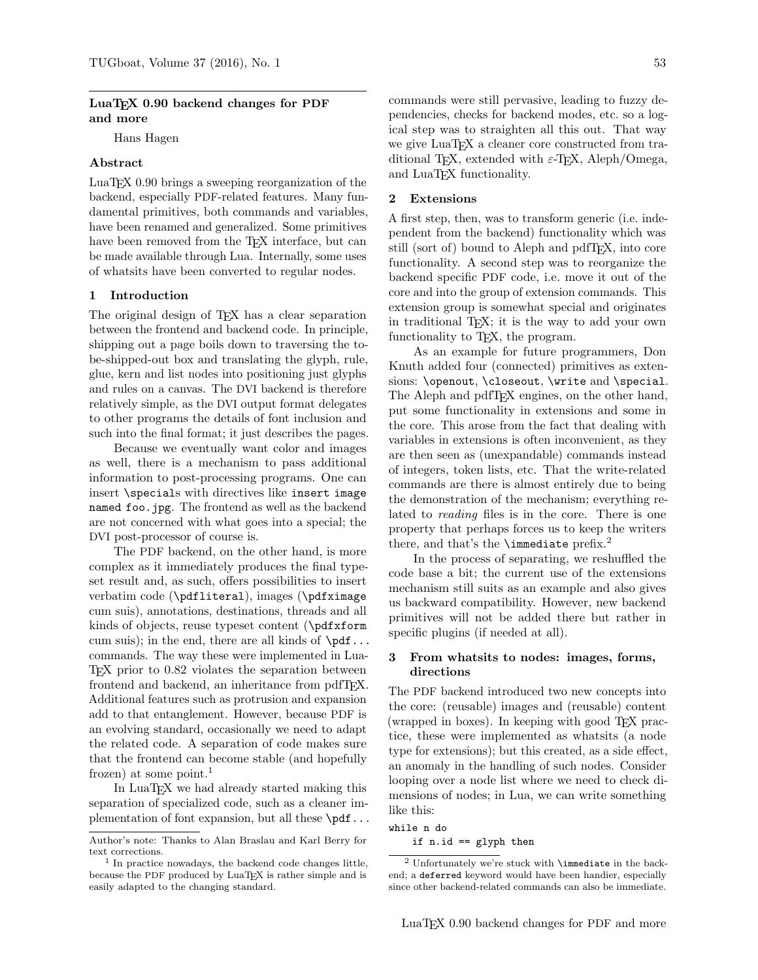# LuaT<sub>EX</sub> 0.90 backend changes for PDF and more

Hans Hagen

# Abstract

LuaTEX 0.90 brings a sweeping reorganization of the backend, especially PDF-related features. Many fundamental primitives, both commands and variables, have been renamed and generalized. Some primitives have been removed from the T<sub>E</sub>X interface, but can be made available through Lua. Internally, some uses of whatsits have been converted to regular nodes.

### 1 Introduction

The original design of TEX has a clear separation between the frontend and backend code. In principle, shipping out a page boils down to traversing the tobe-shipped-out box and translating the glyph, rule, glue, kern and list nodes into positioning just glyphs and rules on a canvas. The DVI backend is therefore relatively simple, as the DVI output format delegates to other programs the details of font inclusion and such into the final format; it just describes the pages.

Because we eventually want color and images as well, there is a mechanism to pass additional information to post-processing programs. One can insert \specials with directives like insert image named foo.jpg. The frontend as well as the backend are not concerned with what goes into a special; the DVI post-processor of course is.

The PDF backend, on the other hand, is more complex as it immediately produces the final typeset result and, as such, offers possibilities to insert verbatim code (\pdfliteral), images (\pdfximage cum suis), annotations, destinations, threads and all kinds of objects, reuse typeset content (\pdfxform cum suis); in the end, there are all kinds of  $\pdf...$ commands. The way these were implemented in Lua-TEX prior to 0.82 violates the separation between frontend and backend, an inheritance from pdfTFX. Additional features such as protrusion and expansion add to that entanglement. However, because PDF is an evolving standard, occasionally we need to adapt the related code. A separation of code makes sure that the frontend can become stable (and hopefully frozen) at some point.<sup>1</sup>

In LuaT<sub>EX</sub> we had already started making this separation of specialized code, such as a cleaner implementation of font expansion, but all these  $\pdf...$ 

commands were still pervasive, leading to fuzzy dependencies, checks for backend modes, etc. so a logical step was to straighten all this out. That way we give LuaT<sub>EX</sub> a cleaner core constructed from traditional T<sub>F</sub>X, extended with  $\varepsilon$ -T<sub>F</sub>X, Aleph/Omega, and LuaTEX functionality.

#### 2 Extensions

A first step, then, was to transform generic (i.e. independent from the backend) functionality which was still (sort of) bound to Aleph and pdfTEX, into core functionality. A second step was to reorganize the backend specific PDF code, i.e. move it out of the core and into the group of extension commands. This extension group is somewhat special and originates in traditional TEX; it is the way to add your own functionality to T<sub>E</sub>X, the program.

As an example for future programmers, Don Knuth added four (connected) primitives as extensions: \openout, \closeout, \write and \special. The Aleph and pdfT<sub>F</sub>X engines, on the other hand, put some functionality in extensions and some in the core. This arose from the fact that dealing with variables in extensions is often inconvenient, as they are then seen as (unexpandable) commands instead of integers, token lists, etc. That the write-related commands are there is almost entirely due to being the demonstration of the mechanism; everything related to reading files is in the core. There is one property that perhaps forces us to keep the writers there, and that's the **\immediate** prefix.<sup>2</sup>

In the process of separating, we reshuffled the code base a bit; the current use of the extensions mechanism still suits as an example and also gives us backward compatibility. However, new backend primitives will not be added there but rather in specific plugins (if needed at all).

### 3 From whatsits to nodes: images, forms, directions

The PDF backend introduced two new concepts into the core: (reusable) images and (reusable) content (wrapped in boxes). In keeping with good TEX practice, these were implemented as whatsits (a node type for extensions); but this created, as a side effect, an anomaly in the handling of such nodes. Consider looping over a node list where we need to check dimensions of nodes; in Lua, we can write something like this:

while n do

if n.id == glyph then

Author's note: Thanks to Alan Braslau and Karl Berry for text corrections.

<sup>1</sup> In practice nowadays, the backend code changes little, because the PDF produced by LuaTEX is rather simple and is easily adapted to the changing standard.

<sup>2</sup> Unfortunately we're stuck with \immediate in the backend; a deferred keyword would have been handier, especially since other backend-related commands can also be immediate.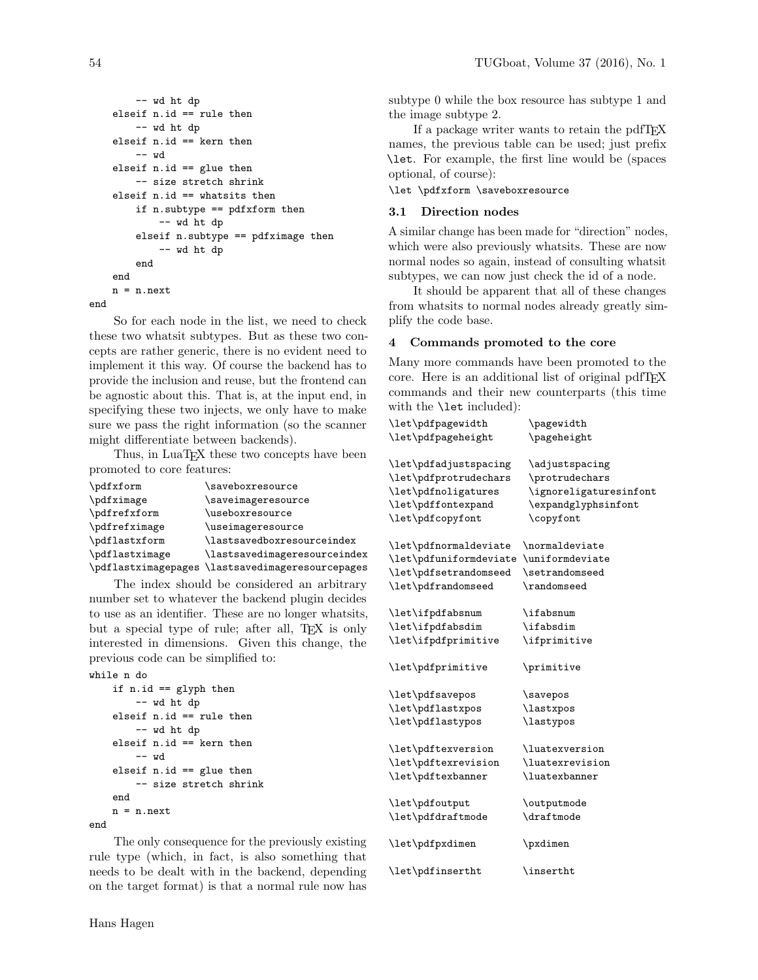```
-- wd ht dp
    elseif n.id == rule then
        -- wd ht dp
    elseif n.id == kern then
        -- wd
    elseif n.id == glue then
        -- size stretch shrink
    elseif n.id == whatsits then
        if n.subtype == pdfxform then
            -- wd ht dp
        elseif n.subtype == pdfximage then
            -- wd ht dp
        end
    end
    n = n.next
end
```
So for each node in the list, we need to check these two whatsit subtypes. But as these two concepts are rather generic, there is no evident need to implement it this way. Of course the backend has to provide the inclusion and reuse, but the frontend can be agnostic about this. That is, at the input end, in specifying these two injects, we only have to make sure we pass the right information (so the scanner might differentiate between backends).

Thus, in LuaT<sub>E</sub>X these two concepts have been promoted to core features:

| \pdfxform           | \saveboxresource             |
|---------------------|------------------------------|
| \pdfximage          | \saveimageresource           |
| \pdfrefxform        | \useboxresource              |
| \pdfrefximage       | \useimageresource            |
| \pdflastxform       | \lastsavedboxresourceindex   |
| \pdflastximage      | \lastsavedimageresourceindex |
| \pdflastximagepages | \lastsavedimageresourcepages |

The index should be considered an arbitrary number set to whatever the backend plugin decides to use as an identifier. These are no longer whatsits, but a special type of rule; after all, T<sub>EX</sub> is only interested in dimensions. Given this change, the previous code can be simplified to:

```
while n do
   if n.id == glyph then
        -- wd ht dp
    elseif n.id == rule then
        -- wd ht dp
    elseif n.id == kern then
       -- wd
    elseif n.id == glue then
        -- size stretch shrink
   end
    n = n.next
end
```
The only consequence for the previously existing rule type (which, in fact, is also something that needs to be dealt with in the backend, depending on the target format) is that a normal rule now has

subtype 0 while the box resource has subtype 1 and the image subtype 2.

If a package writer wants to retain the pdfTEX names, the previous table can be used; just prefix \let. For example, the first line would be (spaces optional, of course):

\let \pdfxform \saveboxresource

### 3.1 Direction nodes

A similar change has been made for "direction" nodes, which were also previously whatsits. These are now normal nodes so again, instead of consulting whatsit subtypes, we can now just check the id of a node.

It should be apparent that all of these changes from whatsits to normal nodes already greatly simplify the code base.

### 4 Commands promoted to the core

Many more commands have been promoted to the core. Here is an additional list of original pdfTEX commands and their new counterparts (this time with the **\let** included):

| \let\pdfpagewidth<br>\let\pdfpageheight                                                        | \pagewidth<br>\pageheight                                                         |
|------------------------------------------------------------------------------------------------|-----------------------------------------------------------------------------------|
| \let\pdfadjustspacing<br>\let\pdfprotrudechars<br>\let\pdfnoligatures<br>\let\pdffontexpand    | \adjustspacing<br>\protrudechars<br>\ignoreligaturesinfont<br>\expandglyphsinfont |
| \let\pdfcopyfont                                                                               | \copyfont                                                                         |
| \let\pdfnormaldeviate<br>\let\pdfuniformdeviate<br>\let\pdfsetrandomseed<br>\let\pdfrandomseed | \normaldeviate<br>\uniformdeviate<br>\setrandomseed<br>\randomseed                |
| \let\ifpdfabsnum<br>\let\ifpdfabsdim<br>\let\ifpdfprimitive                                    | \ifabsnum<br>\ifabsdim<br>\ifprimitive                                            |
|                                                                                                |                                                                                   |
| \let\pdfprimitive                                                                              | \primitive                                                                        |
| \let\pdfsavepos                                                                                | \savepos                                                                          |
| \let\pdflastxpos                                                                               | \lastxpos                                                                         |
| \let\pdflastypos                                                                               | <i>lastypos</i>                                                                   |
| \let\pdftexversion                                                                             | \luatexversion                                                                    |
| \let\pdftexrevision                                                                            | \luatexrevision                                                                   |
| \let\pdftexbanner                                                                              | \luatexbanner                                                                     |
| \let\pdfoutput                                                                                 | \outputmode                                                                       |
| \let\pdfdraftmode                                                                              | \draftmode                                                                        |
| \let\pdfpxdimen                                                                                | \pxdimen                                                                          |
| \let\pdfinsertht                                                                               | \insertht                                                                         |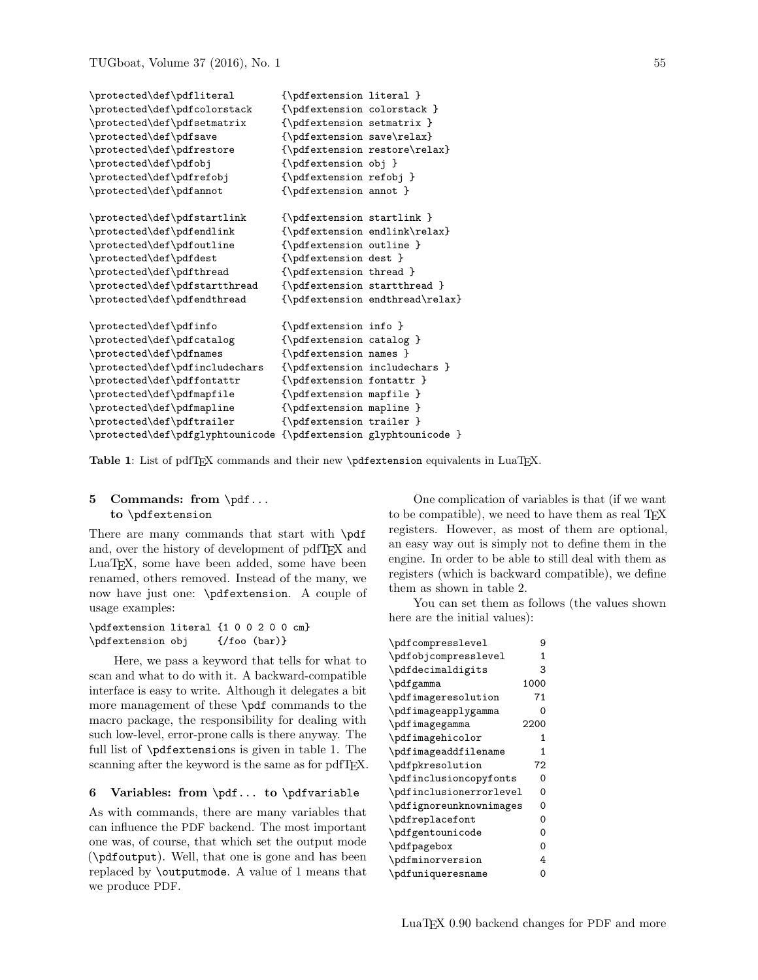```
\protected\def\pdfliteral {\pdfextension literal }
\protected\def\pdfcolorstack {\pdfextension colorstack }
\protected\def\pdfsetmatrix {\pdfextension setmatrix }
\protected\def\pdfsave {\pdfextension save\relax}
\protected\def\pdfrestore {\pdfextension restore\relax}
\protected\def\pdfobj {\pdfextension obj }
\protected\def\pdfrefobj {\pdfextension refobj }
\protected\def\pdfannot {\pdfextension annot }
\protected\def\pdfstartlink {\pdfextension startlink }
\protected\def\pdfendlink {\pdfextension endlink\relax}
\protected\def\pdfoutline {\pdfextension outline }
\protected\def\pdfdest {\pdfextension dest }
\protected\def\pdfthread {\pdfextension thread }
\protected\def\pdfstartthread {\pdfextension startthread }
\protected\def\pdfendthread {\pdfextension endthread\relax}
\protected\def\pdfinfo {\pdfextension info }
\protected\def\pdfcatalog {\pdfextension catalog }
\protected\def\pdfnames {\pdfextension names }
\protected\def\pdfincludechars {\pdfextension includechars }
\protected\def\pdffontattr {\pdfextension fontattr }
\protected\def\pdfmapfile {\pdfextension mapfile }
\protected\def\pdfmapline {\pdfextension mapline }
\protected\def\pdftrailer {\pdfextension trailer }
\protected\def\pdfglyphtounicode {\pdfextension glyphtounicode }
```
Table 1: List of pdfTEX commands and their new \pdfextension equivalents in LuaTEX.

# 5 Commands: from \pdf... to \pdfextension

There are many commands that start with \pdf and, over the history of development of pdfTEX and LuaTEX, some have been added, some have been renamed, others removed. Instead of the many, we now have just one: \pdfextension. A couple of usage examples:

```
\pdfextension literal {1 0 0 2 0 0 cm}
\pdfextension obj {/foo (bar)}
```
Here, we pass a keyword that tells for what to scan and what to do with it. A backward-compatible interface is easy to write. Although it delegates a bit more management of these \pdf commands to the macro package, the responsibility for dealing with such low-level, error-prone calls is there anyway. The full list of \pdfextensions is given in table 1. The scanning after the keyword is the same as for pdfTFX.

### 6 Variables: from \pdf... to \pdfvariable

As with commands, there are many variables that can influence the PDF backend. The most important one was, of course, that which set the output mode (\pdfoutput). Well, that one is gone and has been replaced by \outputmode. A value of 1 means that we produce PDF.

One complication of variables is that (if we want to be compatible), we need to have them as real TEX registers. However, as most of them are optional, an easy way out is simply not to define them in the engine. In order to be able to still deal with them as registers (which is backward compatible), we define them as shown in table 2.

You can set them as follows (the values shown here are the initial values):

| \pdfcompresslevel       | 9           |
|-------------------------|-------------|
| \pdfobjcompresslevel    | 1           |
| \pdfdecimaldigits       | 3           |
| \pdfgamma               | 1000        |
| \pdfimageresolution     | 71          |
| \pdfimageapplygamma     | 0           |
| \pdfimagegamma          | 2200        |
| \pdfimagehicolor        | 1           |
| \pdfimageaddfilename    | 1           |
| \pdfpkresolution        | 72          |
| \pdfinclusioncopyfonts  | 0           |
| \pdfinclusionerrorlevel | 0           |
| \pdfignoreunknownimages | 0           |
| \pdfreplacefont         | 0           |
| \pdfgentounicode        | $\mathbf 0$ |
| \pdfpagebox             | $\mathbf 0$ |
| \pdfminorversion        | 4           |
| \pdfuniqueresname       | 0           |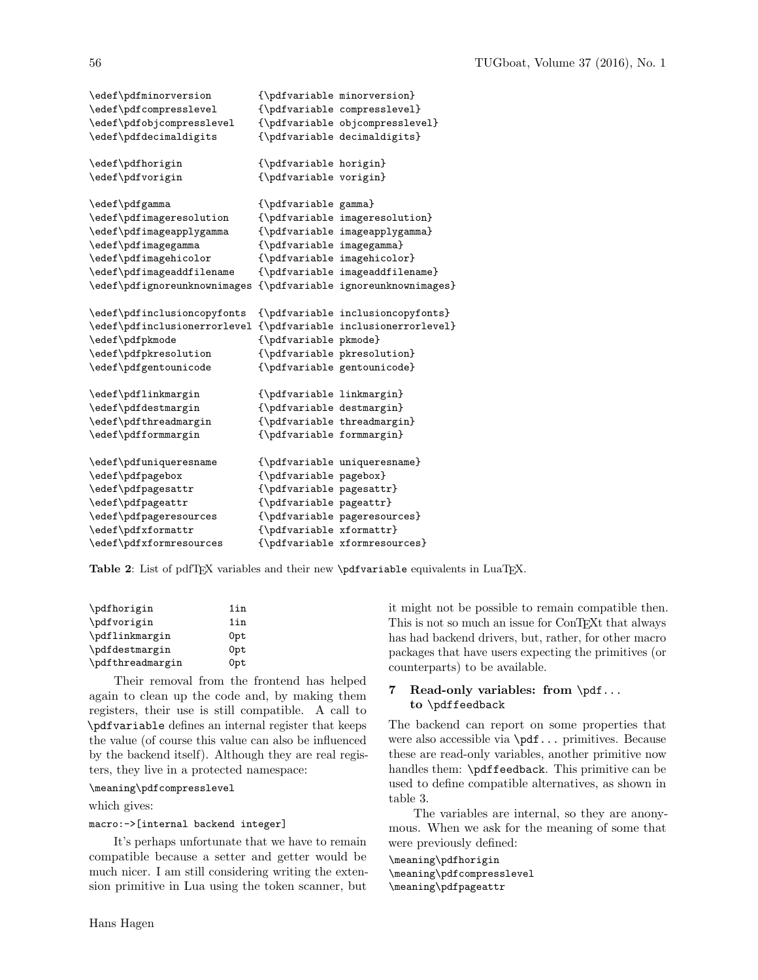| \edef\pdfminorversion        |                           | {\pdfvariable minorversion}        |
|------------------------------|---------------------------|------------------------------------|
| \edef\pdfcompresslevel       |                           | {\pdfvariable compresslevel}       |
| \edef\pdfobjcompresslevel    |                           | {\pdfvariable objcompresslevel}    |
| \edef\pdfdecimaldigits       |                           | {\pdfvariable decimaldigits}       |
| \edef\pdfhorigin             | {\pdfvariable horigin}    |                                    |
| \edef\pdfvorigin             | {\pdfvariable vorigin}    |                                    |
| \edef\pdfgamma               | {\pdfvariable gamma}      |                                    |
| \edef\pdfimageresolution     |                           | {\pdfvariable imageresolution}     |
| \edef\pdfimageapplygamma     |                           | {\pdfvariable imageapplygamma}     |
| \edef\pdfimagegamma          | {\pdfvariable imagegamma} |                                    |
| \edef\pdfimagehicolor        |                           | {\pdfvariable imagehicolor}        |
| \edef\pdfimageaddfilename    |                           | {\pdfvariable imageaddfilename}    |
| \edef\pdfignoreunknownimages |                           | {\pdfvariable ignoreunknownimages} |
| \edef\pdfinclusioncopyfonts  |                           | {\pdfvariable inclusioncopyfonts}  |
| \edef\pdfinclusionerrorlevel |                           | {\pdfvariable inclusionerrorlevel} |
| \edef\pdfpkmode              | {\pdfvariable pkmode}     |                                    |
| \edef\pdfpkresolution        |                           | {\pdfvariable pkresolution}        |
| \edef\pdfgentounicode        |                           | {\pdfvariable gentounicode}        |
| \edef\pdflinkmargin          | {\pdfvariable linkmargin} |                                    |
| \edef\pdfdestmargin          | {\pdfvariable destmargin} |                                    |
| \edef\pdfthreadmargin        |                           | {\pdfvariable threadmargin}        |
| \edef\pdfformmargin          | {\pdfvariable formmargin} |                                    |
| \edef\pdfuniqueresname       |                           | {\pdfvariable uniqueresname}       |
| \edef\pdfpagebox             | {\pdfvariable pagebox}    |                                    |
| \edef\pdfpagesattr           | {\pdfvariable pagesattr}  |                                    |
| \edef\pdfpageattr            | {\pdfvariable pageattr}   |                                    |
| \edef\pdfpageresources       |                           | {\pdfvariable pageresources}       |
| \edef\pdfxformattr           | {\pdfvariable xformattr}  |                                    |
| \edef\pdfxformresources      |                           | {\pdfvariable xformresources}      |

Table 2: List of pdfTEX variables and their new \pdfvariable equivalents in LuaTEX.

| \pdfhorigin      | 1in |
|------------------|-----|
| \pdfvorigin      | 1in |
| \pdflinkmargin   | 0pt |
| \pdfdestmargin   | 0pt |
| \pdfthreadmargin | 0pt |

Their removal from the frontend has helped again to clean up the code and, by making them registers, their use is still compatible. A call to \pdfvariable defines an internal register that keeps the value (of course this value can also be influenced by the backend itself). Although they are real registers, they live in a protected namespace:

# \meaning\pdfcompresslevel

which gives:

### macro:->[internal backend integer]

It's perhaps unfortunate that we have to remain compatible because a setter and getter would be much nicer. I am still considering writing the extension primitive in Lua using the token scanner, but

it might not be possible to remain compatible then. This is not so much an issue for ConTEXt that always has had backend drivers, but, rather, for other macro packages that have users expecting the primitives (or counterparts) to be available.

# 7 Read-only variables: from \pdf... to \pdffeedback

The backend can report on some properties that were also accessible via \pdf... primitives. Because these are read-only variables, another primitive now handles them: \pdffeedback. This primitive can be used to define compatible alternatives, as shown in table 3.

The variables are internal, so they are anonymous. When we ask for the meaning of some that were previously defined:

\meaning\pdfhorigin \meaning\pdfcompresslevel \meaning\pdfpageattr